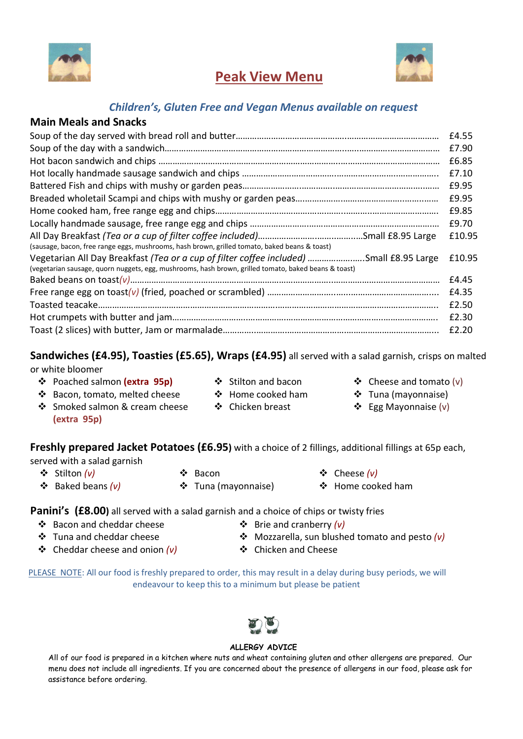

# Peak View Menu



### Children's, Gluten Free and Vegan Menus available on request

### Main Meals and Snacks

|                                                                                                      | £4.55  |
|------------------------------------------------------------------------------------------------------|--------|
|                                                                                                      | £7.90  |
|                                                                                                      | £6.85  |
|                                                                                                      | £7.10  |
|                                                                                                      | £9.95  |
|                                                                                                      | £9.95  |
|                                                                                                      | £9.85  |
|                                                                                                      | £9.70  |
|                                                                                                      | £10.95 |
| (sausage, bacon, free range eggs, mushrooms, hash brown, grilled tomato, baked beans & toast)        |        |
| Vegetarian All Day Breakfast (Tea or a cup of filter coffee included) Small £8.95 Large              | £10.95 |
| (vegetarian sausage, quorn nuggets, egg, mushrooms, hash brown, grilled tomato, baked beans & toast) |        |
|                                                                                                      | £4.45  |
|                                                                                                      | £4.35  |
|                                                                                                      | £2.50  |
|                                                                                                      | £2.30  |
|                                                                                                      | £2.20  |

# Sandwiches (£4.95), Toasties (£5.65), Wraps (£4.95) all served with a salad garnish, crisps on malted

or white bloomer

❖ Poached salmon (extra 95p) → ◆ Stilton and bacon → ◆ Cheese and tomato (v) ❖ Bacon, tomato, melted cheese

❖ Smoked salmon & cream cheese

- 
- $\div$  Home cooked ham
- Chicken breast
- 
- Tuna (mayonnaise)
- Egg Mayonnaise (v)

Freshly prepared Jacket Potatoes (£6.95) with a choice of 2 fillings, additional fillings at 65p each, served with a salad garnish

(extra 95p)

- 
- 
- 
- $\cdot$  Baked beans (v)  $\cdot$   $\cdot$  Tuna (mayonnaise)  $\cdot$  Home cooked ham
- Stilton (v) Bacon Cheese (v)

### Panini's (£8.00) all served with a salad garnish and a choice of chips or twisty fries

- ❖ Bacon and cheddar cheese  $\Diamond$  Brie and cranberry (v)
- Tuna and cheddar cheese
- $\triangleleft$  Cheddar cheese and onion (v)
- 
- $\div$  Mozzarella, sun blushed tomato and pesto (v)
- ❖ Chicken and Cheese

PLEASE NOTE: All our food is freshly prepared to order, this may result in a delay during busy periods, we will endeavour to keep this to a minimum but please be patient



#### ALLERGY ADVICE

All of our food is prepared in a kitchen where nuts and wheat containing gluten and other allergens are prepared. Our menu does not include all ingredients. If you are concerned about the presence of allergens in our food, please ask for assistance before ordering.